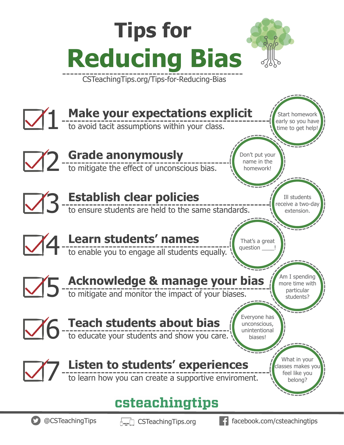